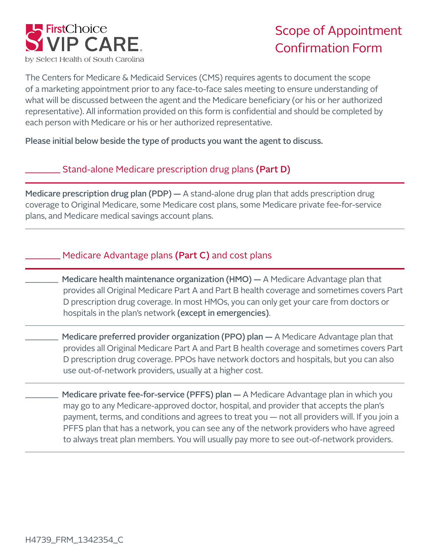

# Scope of Appointment Confirmation Form

The Centers for Medicare & Medicaid Services (CMS) requires agents to document the scope of a marketing appointment prior to any face-to-face sales meeting to ensure understanding of what will be discussed between the agent and the Medicare beneficiary (or his or her authorized representative). All information provided on this form is confidential and should be completed by each person with Medicare or his or her authorized representative.

Please initial below beside the type of products you want the agent to discuss.

### **\_\_** Stand-alone Medicare prescription drug plans (Part D)

Medicare prescription drug plan (PDP) — A stand-alone drug plan that adds prescription drug coverage to Original Medicare, some Medicare cost plans, some Medicare private fee-for-service plans, and Medicare medical savings account plans.

## Medicare Advantage plans (Part C) and cost plans

- Medicare health maintenance organization (HMO) A Medicare Advantage plan that provides all Original Medicare Part A and Part B health coverage and sometimes covers Part D prescription drug coverage. In most HMOs, you can only get your care from doctors or hospitals in the plan's network (except in emergencies).
- Medicare preferred provider organization (PPO) plan A Medicare Advantage plan that provides all Original Medicare Part A and Part B health coverage and sometimes covers Part D prescription drug coverage. PPOs have network doctors and hospitals, but you can also use out-of-network providers, usually at a higher cost.
	- Medicare private fee-for-service (PFFS) plan A Medicare Advantage plan in which you may go to any Medicare-approved doctor, hospital, and provider that accepts the plan's payment, terms, and conditions and agrees to treat you — not all providers will. If you join a PFFS plan that has a network, you can see any of the network providers who have agreed to always treat plan members. You will usually pay more to see out-of-network providers.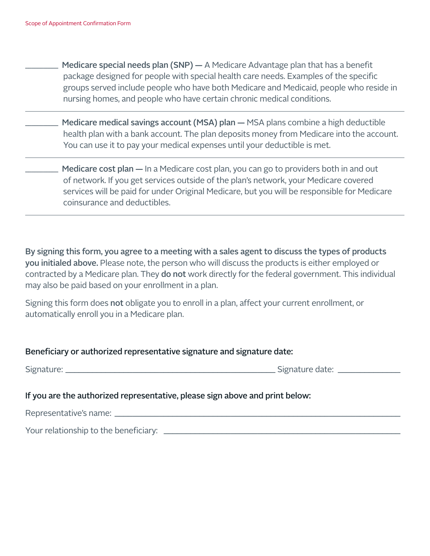| <b>Medicare special needs plan (SNP)</b> $-$ A Medicare Advantage plan that has a benefit |
|-------------------------------------------------------------------------------------------|
| package designed for people with special health care needs. Examples of the specific      |
| groups served include people who have both Medicare and Medicaid, people who reside in    |
| nursing homes, and people who have certain chronic medical conditions.                    |

| Medicare medical savings account (MSA) plan – MSA plans combine a high deductible        |
|------------------------------------------------------------------------------------------|
| health plan with a bank account. The plan deposits money from Medicare into the account. |
| You can use it to pay your medical expenses until your deductible is met.                |

| Medicare cost plan – In a Medicare cost plan, you can go to providers both in and out       |
|---------------------------------------------------------------------------------------------|
| of network. If you get services outside of the plan's network, your Medicare covered        |
| services will be paid for under Original Medicare, but you will be responsible for Medicare |
| coinsurance and deductibles.                                                                |

By signing this form, you agree to a meeting with a sales agent to discuss the types of products you initialed above. Please note, the person who will discuss the products is either employed or contracted by a Medicare plan. They do not work directly for the federal government. This individual may also be paid based on your enrollment in a plan.

Signing this form does not obligate you to enroll in a plan, affect your current enrollment, or automatically enroll you in a Medicare plan.

#### Beneficiary or authorized representative signature and signature date:

Signature: \_\_\_\_\_\_\_\_\_\_\_\_\_\_\_\_\_\_\_\_\_\_\_\_\_\_\_\_\_\_\_\_\_\_\_\_\_\_\_\_\_\_\_\_\_\_\_ Signature date: \_\_\_\_\_\_\_\_\_\_\_\_\_\_

#### If you are the authorized representative, please sign above and print below:

Representative's name: \_\_\_\_\_\_\_\_\_\_\_\_\_\_\_\_\_\_\_\_\_\_\_\_\_\_\_\_\_\_\_\_\_\_\_\_\_\_\_\_\_\_\_\_\_\_\_\_\_\_\_\_\_\_\_\_\_\_\_\_\_\_\_\_

Your relationship to the beneficiary: \_\_\_\_\_\_\_\_\_\_\_\_\_\_\_\_\_\_\_\_\_\_\_\_\_\_\_\_\_\_\_\_\_\_\_\_\_\_\_\_\_\_\_\_\_\_\_\_\_\_\_\_\_